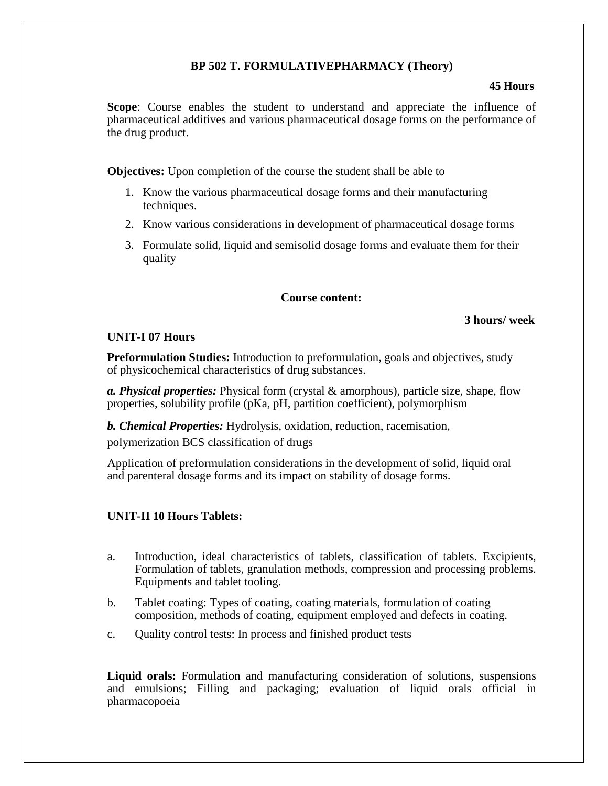# **BP 502 T. FORMULATIVEPHARMACY (Theory)**

### **45 Hours**

**Scope**: Course enables the student to understand and appreciate the influence of pharmaceutical additives and various pharmaceutical dosage forms on the performance of the drug product.

**Objectives:** Upon completion of the course the student shall be able to

- 1. Know the various pharmaceutical dosage forms and their manufacturing techniques.
- 2. Know various considerations in development of pharmaceutical dosage forms
- 3. Formulate solid, liquid and semisolid dosage forms and evaluate them for their quality

# **Course content:**

## **3 hours/ week**

## **UNIT-I 07 Hours**

**Preformulation Studies:** Introduction to preformulation, goals and objectives, study of physicochemical characteristics of drug substances.

*a. Physical properties:* Physical form (crystal & amorphous), particle size, shape, flow properties, solubility profile (pKa, pH, partition coefficient), polymorphism

*b. Chemical Properties:* Hydrolysis, oxidation, reduction, racemisation,

polymerization BCS classification of drugs

Application of preformulation considerations in the development of solid, liquid oral and parenteral dosage forms and its impact on stability of dosage forms.

# **UNIT-II 10 Hours Tablets:**

- a. Introduction, ideal characteristics of tablets, classification of tablets. Excipients, Formulation of tablets, granulation methods, compression and processing problems. Equipments and tablet tooling.
- b. Tablet coating: Types of coating, coating materials, formulation of coating composition, methods of coating, equipment employed and defects in coating.
- c. Quality control tests: In process and finished product tests

**Liquid orals:** Formulation and manufacturing consideration of solutions, suspensions and emulsions; Filling and packaging; evaluation of liquid orals official in pharmacopoeia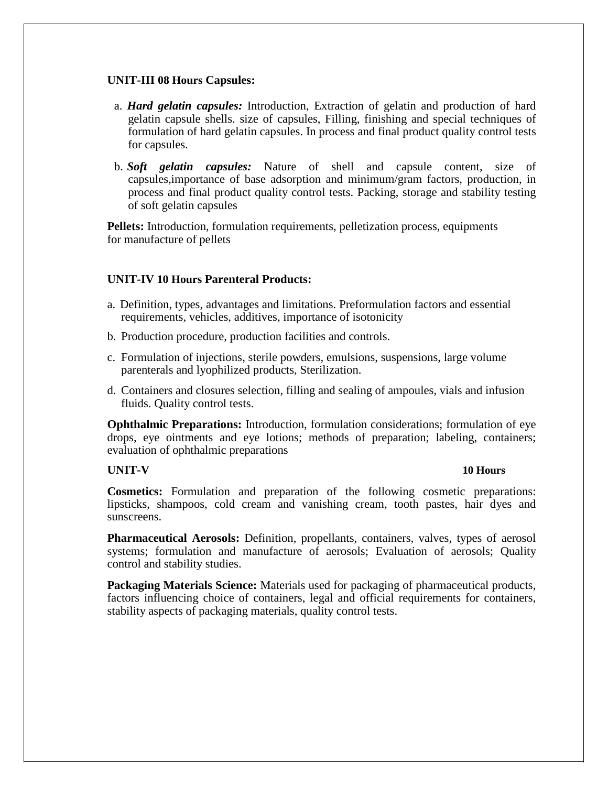### **UNIT-III 08 Hours Capsules:**

- a. *Hard gelatin capsules:* Introduction, Extraction of gelatin and production of hard gelatin capsule shells. size of capsules, Filling, finishing and special techniques of formulation of hard gelatin capsules. In process and final product quality control tests for capsules.
- b. *Soft gelatin capsules:* Nature of shell and capsule content, size of capsules,importance of base adsorption and minimum/gram factors, production, in process and final product quality control tests. Packing, storage and stability testing of soft gelatin capsules

**Pellets:** Introduction, formulation requirements, pelletization process, equipments for manufacture of pellets

# **UNIT-IV 10 Hours Parenteral Products:**

- a. Definition, types, advantages and limitations. Preformulation factors and essential requirements, vehicles, additives, importance of isotonicity
- b. Production procedure, production facilities and controls.
- c. Formulation of injections, sterile powders, emulsions, suspensions, large volume parenterals and lyophilized products, Sterilization.
- d. Containers and closures selection, filling and sealing of ampoules, vials and infusion fluids. Quality control tests.

**Ophthalmic Preparations:** Introduction, formulation considerations; formulation of eye drops, eye ointments and eye lotions; methods of preparation; labeling, containers; evaluation of ophthalmic preparations

# **UNIT-V 10 Hours**

**Cosmetics:** Formulation and preparation of the following cosmetic preparations: lipsticks, shampoos, cold cream and vanishing cream, tooth pastes, hair dyes and sunscreens.

**Pharmaceutical Aerosols:** Definition, propellants, containers, valves, types of aerosol systems; formulation and manufacture of aerosols; Evaluation of aerosols; Quality control and stability studies.

**Packaging Materials Science:** Materials used for packaging of pharmaceutical products, factors influencing choice of containers, legal and official requirements for containers, stability aspects of packaging materials, quality control tests.